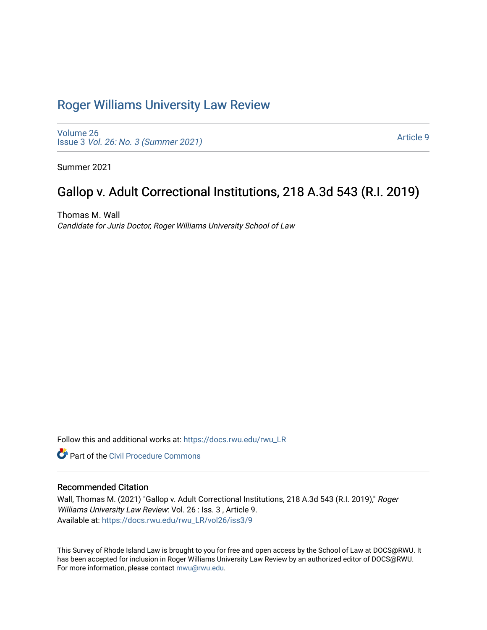## [Roger Williams University Law Review](https://docs.rwu.edu/rwu_LR)

[Volume 26](https://docs.rwu.edu/rwu_LR/vol26) Issue 3 [Vol. 26: No. 3 \(Summer 2021\)](https://docs.rwu.edu/rwu_LR/vol26/iss3) 

[Article 9](https://docs.rwu.edu/rwu_LR/vol26/iss3/9) 

Summer 2021

# Gallop v. Adult Correctional Institutions, 218 A.3d 543 (R.I. 2019)

Thomas M. Wall Candidate for Juris Doctor, Roger Williams University School of Law

Follow this and additional works at: [https://docs.rwu.edu/rwu\\_LR](https://docs.rwu.edu/rwu_LR?utm_source=docs.rwu.edu%2Frwu_LR%2Fvol26%2Fiss3%2F9&utm_medium=PDF&utm_campaign=PDFCoverPages) 

**C** Part of the Civil Procedure Commons

## Recommended Citation

Wall, Thomas M. (2021) "Gallop v. Adult Correctional Institutions, 218 A.3d 543 (R.I. 2019)," Roger Williams University Law Review: Vol. 26 : Iss. 3 , Article 9. Available at: [https://docs.rwu.edu/rwu\\_LR/vol26/iss3/9](https://docs.rwu.edu/rwu_LR/vol26/iss3/9?utm_source=docs.rwu.edu%2Frwu_LR%2Fvol26%2Fiss3%2F9&utm_medium=PDF&utm_campaign=PDFCoverPages) 

This Survey of Rhode Island Law is brought to you for free and open access by the School of Law at DOCS@RWU. It has been accepted for inclusion in Roger Williams University Law Review by an authorized editor of DOCS@RWU. For more information, please contact [mwu@rwu.edu](mailto:mwu@rwu.edu).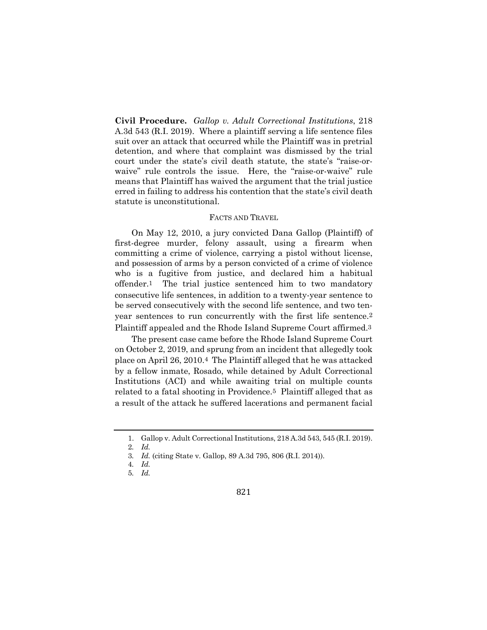**Civil Procedure.** *Gallop v. Adult Correctional Institutions*, 218 A.3d 543 (R.I. 2019). Where a plaintiff serving a life sentence files suit over an attack that occurred while the Plaintiff was in pretrial detention, and where that complaint was dismissed by the trial court under the state's civil death statute, the state's "raise-orwaive" rule controls the issue. Here, the "raise-or-waive" rule means that Plaintiff has waived the argument that the trial justice erred in failing to address his contention that the state's civil death statute is unconstitutional.

#### FACTS AND TRAVEL

On May 12, 2010, a jury convicted Dana Gallop (Plaintiff) of first-degree murder, felony assault, using a firearm when committing a crime of violence, carrying a pistol without license, and possession of arms by a person convicted of a crime of violence who is a fugitive from justice, and declared him a habitual offender.1 The trial justice sentenced him to two mandatory consecutive life sentences, in addition to a twenty-year sentence to be served consecutively with the second life sentence, and two tenyear sentences to run concurrently with the first life sentence.2 Plaintiff appealed and the Rhode Island Supreme Court affirmed.3

The present case came before the Rhode Island Supreme Court on October 2, 2019, and sprung from an incident that allegedly took place on April 26, 2010.4 The Plaintiff alleged that he was attacked by a fellow inmate, Rosado, while detained by Adult Correctional Institutions (ACI) and while awaiting trial on multiple counts related to a fatal shooting in Providence.5 Plaintiff alleged that as a result of the attack he suffered lacerations and permanent facial

<sup>1.</sup> Gallop v. Adult Correctional Institutions, 218 A.3d 543, 545 (R.I. 2019).

<sup>2</sup>*. Id.*

<sup>3</sup>*. Id.* (citing State v. Gallop, 89 A.3d 795, 806 (R.I. 2014)).

<sup>4</sup>*. Id.*

<sup>5</sup>*. Id.*

<sup>821</sup>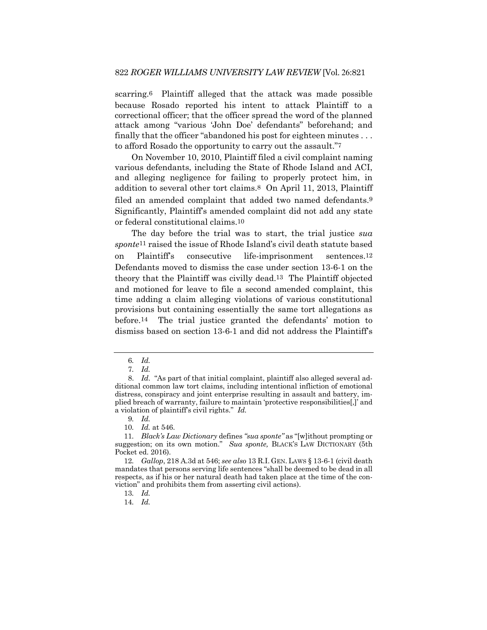scarring.6 Plaintiff alleged that the attack was made possible because Rosado reported his intent to attack Plaintiff to a correctional officer; that the officer spread the word of the planned attack among "various 'John Doe' defendants" beforehand; and finally that the officer "abandoned his post for eighteen minutes . . . to afford Rosado the opportunity to carry out the assault."7

On November 10, 2010, Plaintiff filed a civil complaint naming various defendants, including the State of Rhode Island and ACI, and alleging negligence for failing to properly protect him, in addition to several other tort claims.8 On April 11, 2013, Plaintiff filed an amended complaint that added two named defendants.<sup>9</sup> Significantly, Plaintiff's amended complaint did not add any state or federal constitutional claims.10

The day before the trial was to start, the trial justice *sua sponte*11 raised the issue of Rhode Island's civil death statute based on Plaintiff's consecutive life-imprisonment sentences.12 Defendants moved to dismiss the case under section 13-6-1 on the theory that the Plaintiff was civilly dead.13 The Plaintiff objected and motioned for leave to file a second amended complaint, this time adding a claim alleging violations of various constitutional provisions but containing essentially the same tort allegations as before.14 The trial justice granted the defendants' motion to dismiss based on section 13-6-1 and did not address the Plaintiff's

<sup>6</sup>*. Id.*

<sup>7</sup>*. Id.*

<sup>8.</sup> *Id*. "As part of that initial complaint, plaintiff also alleged several additional common law tort claims, including intentional infliction of emotional distress, conspiracy and joint enterprise resulting in assault and battery, implied breach of warranty, failure to maintain 'protective responsibilities[,]' and a violation of plaintiff's civil rights." *Id.*

<sup>9</sup>*. Id.*

<sup>10</sup>*. Id.* at 546.

<sup>11</sup>*. Black's Law Dictionary* defines *"sua sponte"* as "[w]ithout prompting or suggestion; on its own motion." *Sua sponte,* BLACK'S LAW DICTIONARY (5th Pocket ed. 2016).

<sup>12</sup>*. Gallop*, 218 A.3d at 546; *see also* 13 R.I. GEN. LAWS § 13-6-1 (civil death mandates that persons serving life sentences "shall be deemed to be dead in all respects, as if his or her natural death had taken place at the time of the conviction" and prohibits them from asserting civil actions).

<sup>13</sup>*. Id.*

<sup>14</sup>*. Id.*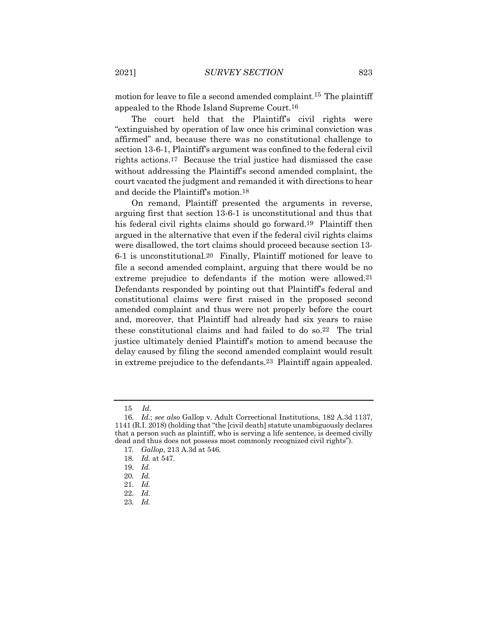motion for leave to file a second amended complaint. 15 The plaintiff appealed to the Rhode Island Supreme Court.16

The court held that the Plaintiff's civil rights were "extinguished by operation of law once his criminal conviction was affirmed" and, because there was no constitutional challenge to section 13-6-1, Plaintiff's argument was confined to the federal civil rights actions.17 Because the trial justice had dismissed the case without addressing the Plaintiff's second amended complaint, the court vacated the judgment and remanded it with directions to hear and decide the Plaintiff's motion.18

On remand, Plaintiff presented the arguments in reverse, arguing first that section 13-6-1 is unconstitutional and thus that his federal civil rights claims should go forward.19 Plaintiff then argued in the alternative that even if the federal civil rights claims were disallowed, the tort claims should proceed because section 13- 6-1 is unconstitutional.20 Finally, Plaintiff motioned for leave to file a second amended complaint, arguing that there would be no extreme prejudice to defendants if the motion were allowed.21 Defendants responded by pointing out that Plaintiff's federal and constitutional claims were first raised in the proposed second amended complaint and thus were not properly before the court and, moreover, that Plaintiff had already had six years to raise these constitutional claims and had failed to do so.22 The trial justice ultimately denied Plaintiff's motion to amend because the delay caused by filing the second amended complaint would result in extreme prejudice to the defendants.23 Plaintiff again appealed.

<sup>15</sup> *Id*.

<sup>16</sup>*. Id.*; *see also* Gallop v. Adult Correctional Institutions, 182 A.3d 1137, 1141 (R.I. 2018) (holding that "the [civil death] statute unambiguously declares that a person such as plaintiff, who is serving a life sentence, is deemed civilly dead and thus does not possess most commonly recognized civil rights").

<sup>17</sup>*. Gallop*, 213 A.3d at 546*.*

<sup>18</sup>*. Id.* at 547.

<sup>19</sup>*. Id.*

<sup>20</sup>*. Id.*

<sup>21</sup>*. Id.*

<sup>22</sup>*. Id.*

<sup>23</sup>*. Id.*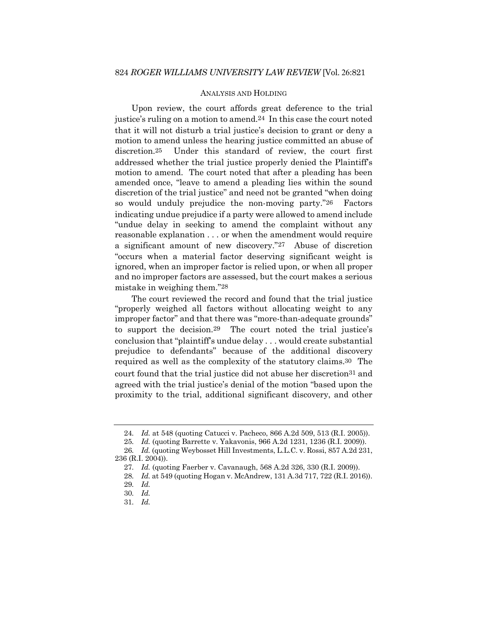#### ANALYSIS AND HOLDING

Upon review, the court affords great deference to the trial justice's ruling on a motion to amend.24 In this case the court noted that it will not disturb a trial justice's decision to grant or deny a motion to amend unless the hearing justice committed an abuse of discretion.25 Under this standard of review, the court first addressed whether the trial justice properly denied the Plaintiff's motion to amend. The court noted that after a pleading has been amended once, "leave to amend a pleading lies within the sound discretion of the trial justice" and need not be granted "when doing so would unduly prejudice the non-moving party."26 Factors indicating undue prejudice if a party were allowed to amend include "undue delay in seeking to amend the complaint without any reasonable explanation . . . or when the amendment would require a significant amount of new discovery."27 Abuse of discretion "occurs when a material factor deserving significant weight is ignored, when an improper factor is relied upon, or when all proper and no improper factors are assessed, but the court makes a serious mistake in weighing them."28

The court reviewed the record and found that the trial justice "properly weighed all factors without allocating weight to any improper factor" and that there was "more-than-adequate grounds" to support the decision.29 The court noted the trial justice's conclusion that "plaintiff's undue delay . . . would create substantial prejudice to defendants" because of the additional discovery required as well as the complexity of the statutory claims.30 The court found that the trial justice did not abuse her discretion31 and agreed with the trial justice's denial of the motion "based upon the proximity to the trial, additional significant discovery, and other

<sup>24</sup>*. Id.* at 548 (quoting Catucci v. Pacheco, 866 A.2d 509, 513 (R.I. 2005)).

<sup>25</sup>*. Id.* (quoting Barrette v. Yakavonis, 966 A.2d 1231, 1236 (R.I. 2009)).

<sup>26</sup>*. Id.* (quoting Weybosset Hill Investments, L.L.C. v. Rossi, 857 A.2d 231, 236 (R.I. 2004)).

<sup>27</sup>*. Id.* (quoting Faerber v. Cavanaugh, 568 A.2d 326, 330 (R.I. 2009)).

<sup>28</sup>*. Id.* at 549 (quoting Hogan v. McAndrew, 131 A.3d 717, 722 (R.I. 2016)).

<sup>29</sup>*. Id.*

<sup>30</sup>*. Id.*

<sup>31</sup>*. Id.*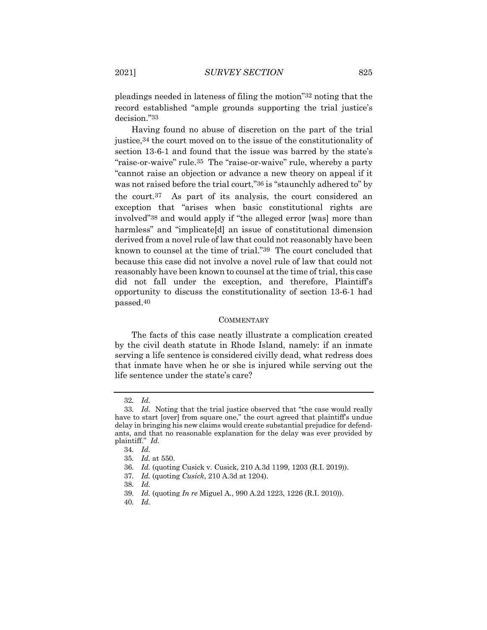pleadings needed in lateness of filing the motion"32 noting that the record established "ample grounds supporting the trial justice's decision."33

Having found no abuse of discretion on the part of the trial justice,34 the court moved on to the issue of the constitutionality of section 13-6-1 and found that the issue was barred by the state's "raise-or-waive" rule.35 The "raise-or-waive" rule, whereby a party "cannot raise an objection or advance a new theory on appeal if it was not raised before the trial court,"36 is "staunchly adhered to" by the court.37 As part of its analysis, the court considered an exception that "arises when basic constitutional rights are involved"38 and would apply if "the alleged error [was] more than harmless" and "implicate<sup>[d]</sup> an issue of constitutional dimension derived from a novel rule of law that could not reasonably have been known to counsel at the time of trial."39 The court concluded that because this case did not involve a novel rule of law that could not reasonably have been known to counsel at the time of trial, this case did not fall under the exception, and therefore, Plaintiff's opportunity to discuss the constitutionality of section 13-6-1 had passed.40

#### **COMMENTARY**

The facts of this case neatly illustrate a complication created by the civil death statute in Rhode Island, namely: if an inmate serving a life sentence is considered civilly dead, what redress does that inmate have when he or she is injured while serving out the life sentence under the state's care?

<sup>32</sup>*. Id.*

<sup>33</sup>*. Id.* Noting that the trial justice observed that "the case would really have to start [over] from square one," the court agreed that plaintiff's undue delay in bringing his new claims would create substantial prejudice for defendants, and that no reasonable explanation for the delay was ever provided by plaintiff." *Id.*

<sup>34</sup>*. Id.*

<sup>35</sup>*. Id.* at 550.

<sup>36</sup>*. Id.* (quoting Cusick v. Cusick, 210 A.3d 1199, 1203 (R.I. 2019)).

<sup>37</sup>*. Id.* (quoting *Cusick*, 210 A.3d at 1204).

<sup>38</sup>*. Id.*

<sup>39</sup>*. Id.* (quoting *In re* Miguel A*.*, 990 A.2d 1223, 1226 (R.I. 2010)).

<sup>40</sup>*. Id.*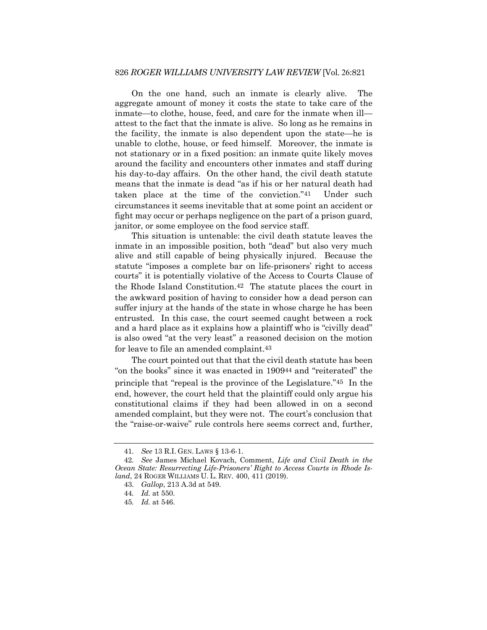On the one hand, such an inmate is clearly alive. The aggregate amount of money it costs the state to take care of the inmate—to clothe, house, feed, and care for the inmate when ill attest to the fact that the inmate is alive. So long as he remains in the facility, the inmate is also dependent upon the state—he is unable to clothe, house, or feed himself. Moreover, the inmate is not stationary or in a fixed position: an inmate quite likely moves around the facility and encounters other inmates and staff during his day-to-day affairs. On the other hand, the civil death statute means that the inmate is dead "as if his or her natural death had taken place at the time of the conviction."41 Under such circumstances it seems inevitable that at some point an accident or fight may occur or perhaps negligence on the part of a prison guard, janitor, or some employee on the food service staff.

This situation is untenable: the civil death statute leaves the inmate in an impossible position, both "dead" but also very much alive and still capable of being physically injured. Because the statute "imposes a complete bar on life-prisoners' right to access courts" it is potentially violative of the Access to Courts Clause of the Rhode Island Constitution.42 The statute places the court in the awkward position of having to consider how a dead person can suffer injury at the hands of the state in whose charge he has been entrusted. In this case, the court seemed caught between a rock and a hard place as it explains how a plaintiff who is "civilly dead" is also owed "at the very least" a reasoned decision on the motion for leave to file an amended complaint.43

The court pointed out that that the civil death statute has been "on the books" since it was enacted in 190944 and "reiterated" the principle that "repeal is the province of the Legislature."45 In the end, however, the court held that the plaintiff could only argue his constitutional claims if they had been allowed in on a second amended complaint, but they were not. The court's conclusion that the "raise-or-waive" rule controls here seems correct and, further,

<sup>41</sup>*. See* 13 R.I. GEN. LAWS § 13-6-1.

<sup>42</sup>*. See* James Michael Kovach, Comment, *Life and Civil Death in the Ocean State: Resurrecting Life-Prisoners' Right to Access Courts in Rhode Island*, 24 ROGER WILLIAMS U. L. REV. 400, 411 (2019).

<sup>43</sup>*. Gallop*, 213 A.3d at 549.

<sup>44</sup>*. Id.* at 550.

<sup>45</sup>*. Id.* at 546.